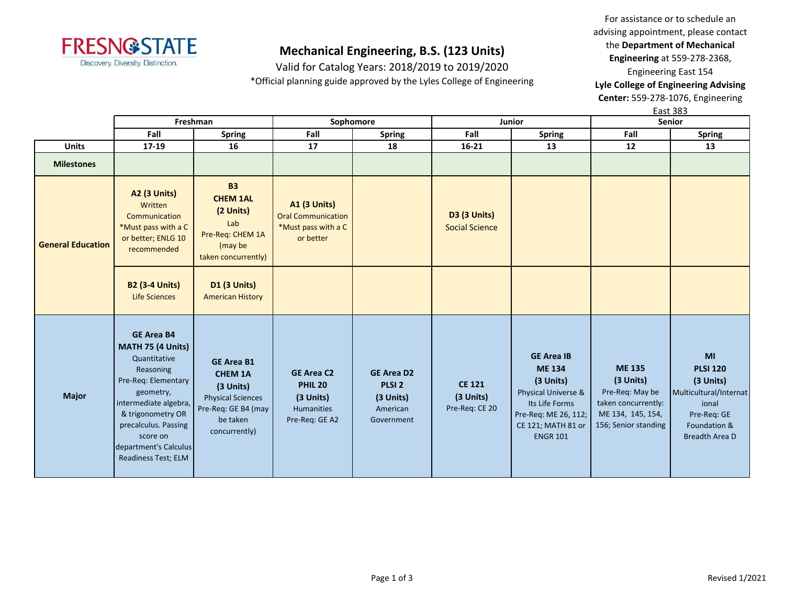

Valid for Catalog Years: 2018/2019 to 2019/2020 \*Official planning guide approved by the Lyles College of Engineering

For assistance or to schedule an advising appointment, please contact the **Department of Mechanical Engineering** at 559-278-2368, Engineering East 154 **Lyle College of Engineering Advising** 

**Center:** 559-278-1076, Engineering East 383

|                          | Freshman                                                                                                                                                                                                                                  |                                                                                                                                    | Sophomore                                                                            |                                                                               |                                              | Junior                                                                                                                                                    | ∟ujt juj<br><b>Senior</b>                                                                                         |                                                                                                                               |
|--------------------------|-------------------------------------------------------------------------------------------------------------------------------------------------------------------------------------------------------------------------------------------|------------------------------------------------------------------------------------------------------------------------------------|--------------------------------------------------------------------------------------|-------------------------------------------------------------------------------|----------------------------------------------|-----------------------------------------------------------------------------------------------------------------------------------------------------------|-------------------------------------------------------------------------------------------------------------------|-------------------------------------------------------------------------------------------------------------------------------|
|                          | Fall                                                                                                                                                                                                                                      | <b>Spring</b>                                                                                                                      | Fall                                                                                 | <b>Spring</b>                                                                 | Fall                                         | <b>Spring</b>                                                                                                                                             | Fall                                                                                                              | <b>Spring</b>                                                                                                                 |
| <b>Units</b>             | $17 - 19$                                                                                                                                                                                                                                 | 16                                                                                                                                 | 17                                                                                   | 18                                                                            | $16 - 21$                                    | 13                                                                                                                                                        | 12                                                                                                                | 13                                                                                                                            |
| <b>Milestones</b>        |                                                                                                                                                                                                                                           |                                                                                                                                    |                                                                                      |                                                                               |                                              |                                                                                                                                                           |                                                                                                                   |                                                                                                                               |
| <b>General Education</b> | <b>A2 (3 Units)</b><br>Written<br>Communication<br>*Must pass with a C<br>or better; ENLG 10<br>recommended                                                                                                                               | <b>B3</b><br><b>CHEM 1AL</b><br>(2 Units)<br>Lab<br>Pre-Req: CHEM 1A<br>(may be<br>taken concurrently)                             | <b>A1 (3 Units)</b><br><b>Oral Communication</b><br>*Must pass with a C<br>or better |                                                                               | <b>D3 (3 Units)</b><br><b>Social Science</b> |                                                                                                                                                           |                                                                                                                   |                                                                                                                               |
|                          | <b>B2 (3-4 Units)</b><br><b>Life Sciences</b>                                                                                                                                                                                             | D1 (3 Units)<br><b>American History</b>                                                                                            |                                                                                      |                                                                               |                                              |                                                                                                                                                           |                                                                                                                   |                                                                                                                               |
| <b>Major</b>             | <b>GE Area B4</b><br>MATH 75 (4 Units)<br>Quantitative<br>Reasoning<br>Pre-Req: Elementary<br>geometry,<br>intermediate algebra,<br>& trigonometry OR<br>precalculus. Passing<br>score on<br>department's Calculus<br>Readiness Test; ELM | <b>GE Area B1</b><br><b>CHEM 1A</b><br>$(3$ Units)<br><b>Physical Sciences</b><br>Pre-Req: GE B4 (may<br>be taken<br>concurrently) | <b>GE Area C2</b><br><b>PHIL 20</b><br>(3 Units)<br>Humanities<br>Pre-Req: GE A2     | <b>GE Area D2</b><br>PLSI <sub>2</sub><br>(3 Units)<br>American<br>Government | <b>CE 121</b><br>(3 Units)<br>Pre-Req: CE 20 | <b>GE Area IB</b><br><b>ME 134</b><br>(3 Units)<br>Physical Universe &<br>Its Life Forms<br>Pre-Req: ME 26, 112;<br>CE 121; MATH 81 or<br><b>ENGR 101</b> | <b>ME 135</b><br>(3 Units)<br>Pre-Req: May be<br>taken concurrently:<br>ME 134, 145, 154,<br>156; Senior standing | MI<br><b>PLSI 120</b><br>(3 Units)<br>Multicultural/Internat<br>ional<br>Pre-Req: GE<br>Foundation &<br><b>Breadth Area D</b> |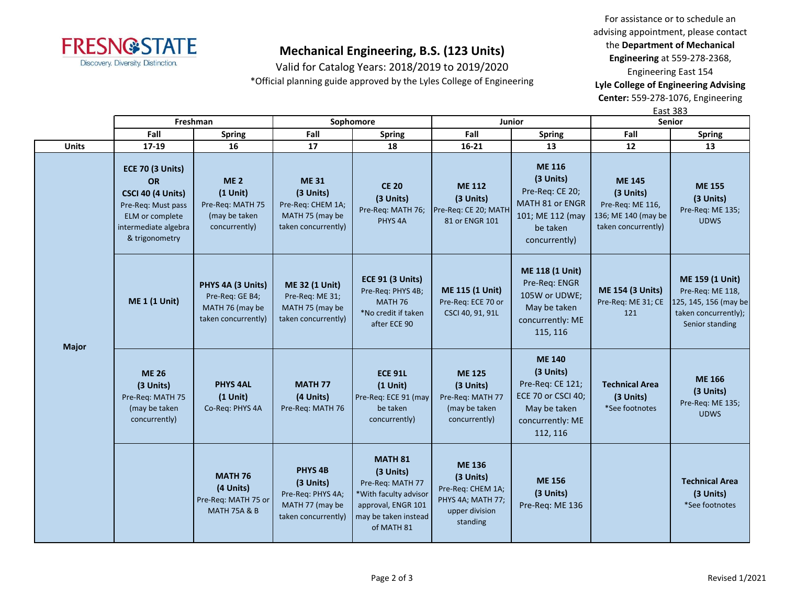

Valid for Catalog Years: 2018/2019 to 2019/2020 \*Official planning guide approved by the Lyles College of Engineering

For assistance or to schedule an advising appointment, please contact the **Department of Mechanical Engineering** at 559-278-2368, Engineering East 154 **Lyle College of Engineering Advising** 

**Center:** 559-278-1076, Engineering

|              |                                                                                                                                              |                                                                                |                                                                                                |                                                                                                                                      |                                                                                                    |                                                                                                                      |                                                                                              | <b>East 383</b>                                                                                         |  |  |
|--------------|----------------------------------------------------------------------------------------------------------------------------------------------|--------------------------------------------------------------------------------|------------------------------------------------------------------------------------------------|--------------------------------------------------------------------------------------------------------------------------------------|----------------------------------------------------------------------------------------------------|----------------------------------------------------------------------------------------------------------------------|----------------------------------------------------------------------------------------------|---------------------------------------------------------------------------------------------------------|--|--|
|              |                                                                                                                                              | Freshman                                                                       |                                                                                                | Sophomore                                                                                                                            |                                                                                                    | <b>Junior</b>                                                                                                        | Senior                                                                                       |                                                                                                         |  |  |
|              | Fall                                                                                                                                         | <b>Spring</b>                                                                  | Fall                                                                                           | <b>Spring</b>                                                                                                                        | Fall                                                                                               | <b>Spring</b>                                                                                                        | Fall                                                                                         | <b>Spring</b>                                                                                           |  |  |
| <b>Units</b> | 17-19                                                                                                                                        | 16                                                                             | 17                                                                                             | 18                                                                                                                                   | $16 - 21$                                                                                          | 13                                                                                                                   | 12                                                                                           | 13                                                                                                      |  |  |
|              | <b>ECE 70 (3 Units)</b><br><b>OR</b><br>CSCI 40 (4 Units)<br>Pre-Req: Must pass<br>ELM or complete<br>intermediate algebra<br>& trigonometry | <b>ME2</b><br>$(1$ Unit)<br>Pre-Req: MATH 75<br>(may be taken<br>concurrently) | <b>ME31</b><br>(3 Units)<br>Pre-Req: CHEM 1A;<br>MATH 75 (may be<br>taken concurrently)        | <b>CE 20</b><br>(3 Units)<br>Pre-Req: MATH 76;<br>PHYS <sub>4A</sub>                                                                 | <b>ME 112</b><br>(3 Units)<br>Pre-Req: CE 20; MATH<br>81 or ENGR 101                               | <b>ME 116</b><br>(3 Units)<br>Pre-Req: CE 20;<br>MATH 81 or ENGR<br>101; ME 112 (may<br>be taken<br>concurrently)    | <b>ME 145</b><br>(3 Units)<br>Pre-Req: ME 116,<br>136; ME 140 (may be<br>taken concurrently) | <b>ME 155</b><br>(3 Units)<br>Pre-Req: ME 135;<br><b>UDWS</b>                                           |  |  |
| <b>Major</b> | <b>ME 1 (1 Unit)</b>                                                                                                                         | PHYS 4A (3 Units)<br>Pre-Req: GE B4;<br>MATH 76 (may be<br>taken concurrently) | <b>ME 32 (1 Unit)</b><br>Pre-Req: ME 31;<br>MATH 75 (may be<br>taken concurrently)             | <b>ECE 91 (3 Units)</b><br>Pre-Req: PHYS 4B;<br>MATH 76<br>*No credit if taken<br>after ECE 90                                       | ME 115 (1 Unit)<br>Pre-Req: ECE 70 or<br>CSCI 40, 91, 91L                                          | <b>ME 118 (1 Unit)</b><br>Pre-Req: ENGR<br>105W or UDWE;<br>May be taken<br>concurrently: ME<br>115, 116             | <b>ME 154 (3 Units)</b><br>Pre-Req: ME 31; CE<br>121                                         | ME 159 (1 Unit)<br>Pre-Req: ME 118,<br>125, 145, 156 (may be<br>taken concurrently);<br>Senior standing |  |  |
|              | <b>ME 26</b><br>(3 Units)<br>Pre-Req: MATH 75<br>(may be taken<br>concurrently)                                                              | <b>PHYS 4AL</b><br>$(1$ Unit)<br>Co-Req: PHYS 4A                               | <b>MATH 77</b><br>(4 Units)<br>Pre-Req: MATH 76                                                | <b>ECE 91L</b><br>$(1$ Unit)<br>Pre-Req: ECE 91 (may<br>be taken<br>concurrently)                                                    | <b>ME 125</b><br>(3 Units)<br>Pre-Req: MATH 77<br>(may be taken<br>concurrently)                   | <b>ME 140</b><br>(3 Units)<br>Pre-Req: CE 121;<br>ECE 70 or CSCI 40;<br>May be taken<br>concurrently: ME<br>112, 116 | <b>Technical Area</b><br>(3 Units)<br>*See footnotes                                         | <b>ME 166</b><br>(3 Units)<br>Pre-Req: ME 135;<br><b>UDWS</b>                                           |  |  |
|              |                                                                                                                                              | <b>MATH 76</b><br>(4 Units)<br>Pre-Req: MATH 75 or<br><b>MATH 75A &amp; B</b>  | PHYS <sub>4B</sub><br>(3 Units)<br>Pre-Req: PHYS 4A;<br>MATH 77 (may be<br>taken concurrently) | <b>MATH 81</b><br>(3 Units)<br>Pre-Req: MATH 77<br>*With faculty advisor<br>approval, ENGR 101<br>may be taken instead<br>of MATH 81 | <b>ME 136</b><br>(3 Units)<br>Pre-Req: CHEM 1A;<br>PHYS 4A; MATH 77;<br>upper division<br>standing | <b>ME 156</b><br>(3 Units)<br>Pre-Req: ME 136                                                                        |                                                                                              | <b>Technical Area</b><br>(3 Units)<br>*See footnotes                                                    |  |  |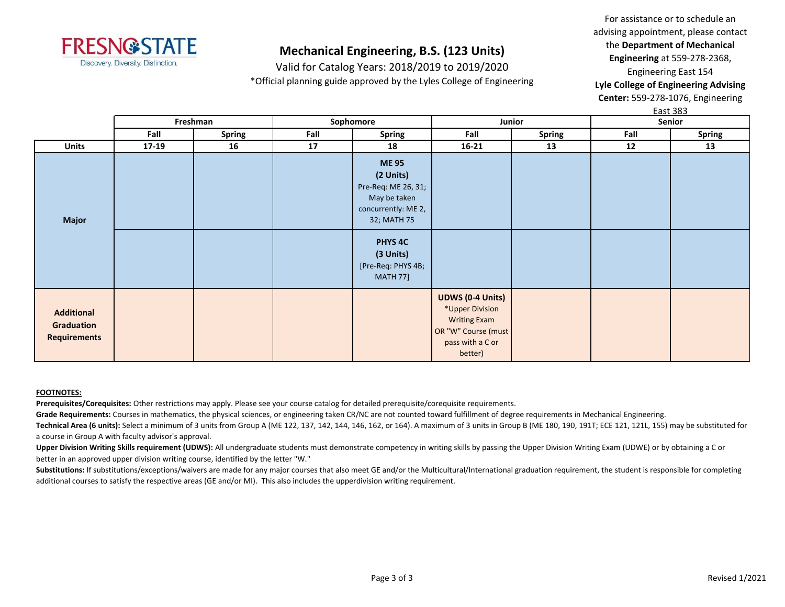

Valid for Catalog Years: 2018/2019 to 2019/2020 \*Official planning guide approved by the Lyles College of Engineering

For assistance or to schedule an advising appointment, please contact the **Department of Mechanical Engineering** at 559-278-2368, Engineering East 154 **Lyle College of Engineering Advising** 

**Center:** 559-278-1076, Engineering East 383

|                                                        | Freshman |               |      | Sophomore                                                                                                                                                                         | Junior                                                                                                                  |               | <u>cust sos</u><br>Senior |        |
|--------------------------------------------------------|----------|---------------|------|-----------------------------------------------------------------------------------------------------------------------------------------------------------------------------------|-------------------------------------------------------------------------------------------------------------------------|---------------|---------------------------|--------|
|                                                        | Fall     | <b>Spring</b> | Fall | <b>Spring</b>                                                                                                                                                                     | Fall                                                                                                                    | <b>Spring</b> | Fall                      | Spring |
| <b>Units</b>                                           | $17-19$  | 16            | 17   | 18                                                                                                                                                                                | $16 - 21$                                                                                                               | 13            | 12                        | 13     |
| <b>Major</b>                                           |          |               |      | <b>ME95</b><br>(2 Units)<br>Pre-Req: ME 26, 31;<br>May be taken<br>concurrently: ME 2,<br>32; MATH 75<br>PHYS <sub>4C</sub><br>(3 Units)<br>[Pre-Req: PHYS 4B;<br><b>MATH 77]</b> |                                                                                                                         |               |                           |        |
| <b>Additional</b><br>Graduation<br><b>Requirements</b> |          |               |      |                                                                                                                                                                                   | <b>UDWS (0-4 Units)</b><br>*Upper Division<br><b>Writing Exam</b><br>OR "W" Course (must<br>pass with a C or<br>better) |               |                           |        |

### **FOOTNOTES:**

**Prerequisites/Corequisites:** Other restrictions may apply. Please see your course catalog for detailed prerequisite/corequisite requirements.

Grade Requirements: Courses in mathematics, the physical sciences, or engineering taken CR/NC are not counted toward fulfillment of degree requirements in Mechanical Engineering.

**Technical Area (6 units):** Select a minimum of 3 units from Group A (ME 122, 137, 142, 144, 146, 162, or 164). A maximum of 3 units in Group B (ME 180, 190, 191T; ECE 121, 121L, 155) may be substituted for a course in Group A with faculty advisor's approval.

Upper Division Writing Skills requirement (UDWS): All undergraduate students must demonstrate competency in writing skills by passing the Upper Division Writing Exam (UDWE) or by obtaining a C or better in an approved upper division writing course, identified by the letter "W."

Substitutions: If substitutions/exceptions/waivers are made for any major courses that also meet GE and/or the Multicultural/International graduation requirement, the student is responsible for completing additional courses to satisfy the respective areas (GE and/or MI). This also includes the upperdivision writing requirement.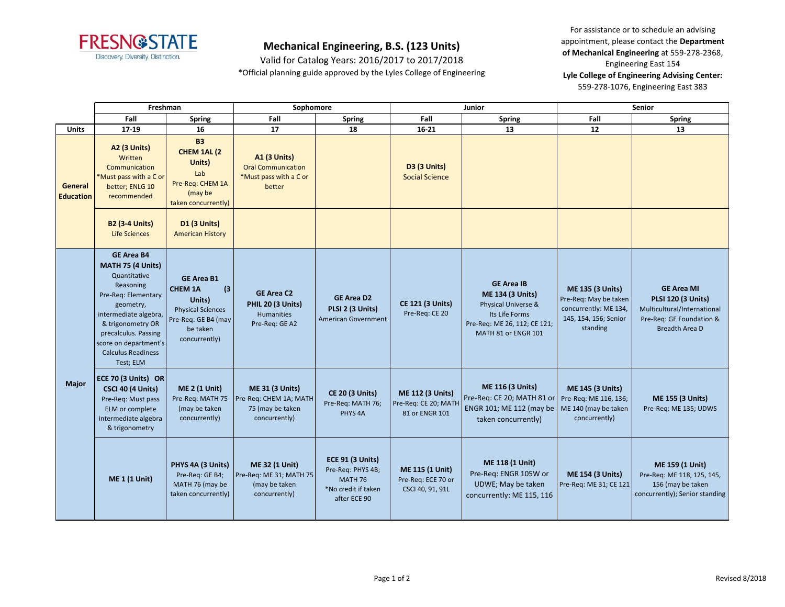

Valid for Catalog Years: 2016/2017 to 2017/2018 \*Official planning guide approved by the Lyles College of Engineering

For assistance or to schedule an advising appointment, please contact the **Department of Mechanical Engineering** at 559-278-2368, Engineering East 154 **Lyle College of Engineering Advising Center:**  559-278-1076, Engineering East 383

|                             | Freshman                                                                                                                                                                                                                                         |                                                                                                                                      | Sophomore                                                                             |                                                                                                       |                                                                   | <b>Junior</b>                                                                                                                                | <b>Senior</b>                                                                                                  |                                                                                                                                    |
|-----------------------------|--------------------------------------------------------------------------------------------------------------------------------------------------------------------------------------------------------------------------------------------------|--------------------------------------------------------------------------------------------------------------------------------------|---------------------------------------------------------------------------------------|-------------------------------------------------------------------------------------------------------|-------------------------------------------------------------------|----------------------------------------------------------------------------------------------------------------------------------------------|----------------------------------------------------------------------------------------------------------------|------------------------------------------------------------------------------------------------------------------------------------|
|                             | Fall                                                                                                                                                                                                                                             | <b>Spring</b>                                                                                                                        | Fall                                                                                  | <b>Spring</b>                                                                                         | Fall                                                              | <b>Spring</b>                                                                                                                                | Fall                                                                                                           | <b>Spring</b>                                                                                                                      |
| <b>Units</b>                | 17-19                                                                                                                                                                                                                                            | 16                                                                                                                                   | 17                                                                                    | 18                                                                                                    | $16 - 21$                                                         | 13                                                                                                                                           | 12                                                                                                             | 13                                                                                                                                 |
| General<br><b>Education</b> | A2 (3 Units)<br>Written<br>Communication<br>*Must pass with a C or<br>better; ENLG 10<br>recommended                                                                                                                                             | <b>B3</b><br>CHEM 1AL (2<br>Units)<br>Lab<br>Pre-Req: CHEM 1A<br>(may be<br>taken concurrently)                                      | <b>A1 (3 Units)</b><br><b>Oral Communication</b><br>*Must pass with a C or<br>better  |                                                                                                       | <b>D3 (3 Units)</b><br><b>Social Science</b>                      |                                                                                                                                              |                                                                                                                |                                                                                                                                    |
|                             | <b>B2 (3-4 Units)</b><br>Life Sciences                                                                                                                                                                                                           | D1 (3 Units)<br><b>American History</b>                                                                                              |                                                                                       |                                                                                                       |                                                                   |                                                                                                                                              |                                                                                                                |                                                                                                                                    |
| <b>Major</b>                | <b>GE Area B4</b><br>MATH 75 (4 Units)<br>Quantitative<br>Reasoning<br>Pre-Req: Elementary<br>geometry,<br>intermediate algebra,<br>& trigonometry OR<br>precalculus. Passing<br>score on department's<br><b>Calculus Readiness</b><br>Test; ELM | <b>GE Area B1</b><br>(3)<br><b>CHEM 1A</b><br>Units)<br><b>Physical Sciences</b><br>Pre-Req: GE B4 (may<br>be taken<br>concurrently) | <b>GE Area C2</b><br>PHIL 20 (3 Units)<br>Humanities<br>Pre-Req: GE A2                | <b>GE Area D2</b><br>PLSI 2 (3 Units)<br>American Government                                          | <b>CE 121 (3 Units)</b><br>Pre-Req: CE 20                         | <b>GE Area IB</b><br><b>ME 134 (3 Units)</b><br>Physical Universe &<br>Its Life Forms<br>Pre-Req: ME 26, 112; CE 121;<br>MATH 81 or ENGR 101 | <b>ME 135 (3 Units)</b><br>Pre-Req: May be taken<br>concurrently: ME 134,<br>145, 154, 156; Senior<br>standing | <b>GE Area MI</b><br><b>PLSI 120 (3 Units)</b><br>Multicultural/International<br>Pre-Req: GE Foundation &<br><b>Breadth Area D</b> |
|                             | ECE 70 (3 Units) OR<br>CSCI 40 (4 Units)<br>Pre-Req: Must pass<br>ELM or complete<br>intermediate algebra<br>& trigonometry                                                                                                                      | <b>ME 2 (1 Unit)</b><br>Pre-Req: MATH 75<br>(may be taken<br>concurrently)                                                           | <b>ME 31 (3 Units)</b><br>Pre-Reg: CHEM 1A; MATH<br>75 (may be taken<br>concurrently) | <b>CE 20 (3 Units)</b><br>Pre-Req: MATH 76;<br>PHYS <sub>4A</sub>                                     | <b>ME 112 (3 Units)</b><br>Pre-Req: CE 20; MATH<br>81 or ENGR 101 | <b>ME 116 (3 Units)</b><br>Pre-Req: CE 20; MATH 81 or<br>ENGR 101; ME 112 (may be<br>taken concurrently)                                     | <b>ME 145 (3 Units)</b><br>Pre-Reg: ME 116, 136;<br>ME 140 (may be taken<br>concurrently)                      | <b>ME 155 (3 Units)</b><br>Pre-Req: ME 135; UDWS                                                                                   |
|                             | <b>ME 1 (1 Unit)</b>                                                                                                                                                                                                                             | PHYS 4A (3 Units)<br>Pre-Req: GE B4;<br>MATH 76 (may be<br>taken concurrently)                                                       | <b>ME 32 (1 Unit)</b><br>Pre-Req: ME 31; MATH 75<br>(may be taken<br>concurrently)    | <b>ECE 91 (3 Units)</b><br>Pre-Req: PHYS 4B;<br><b>MATH 76</b><br>*No credit if taken<br>after ECE 90 | ME 115 (1 Unit)<br>Pre-Req: ECE 70 or<br>CSCI 40, 91, 91L         | ME 118 (1 Unit)<br>Pre-Req: ENGR 105W or<br>UDWE; May be taken<br>concurrently: ME 115, 116                                                  | <b>ME 154 (3 Units)</b><br>Pre-Req: ME 31; CE 121                                                              | ME 159 (1 Unit)<br>Pre-Req: ME 118, 125, 145,<br>156 (may be taken<br>concurrently); Senior standing                               |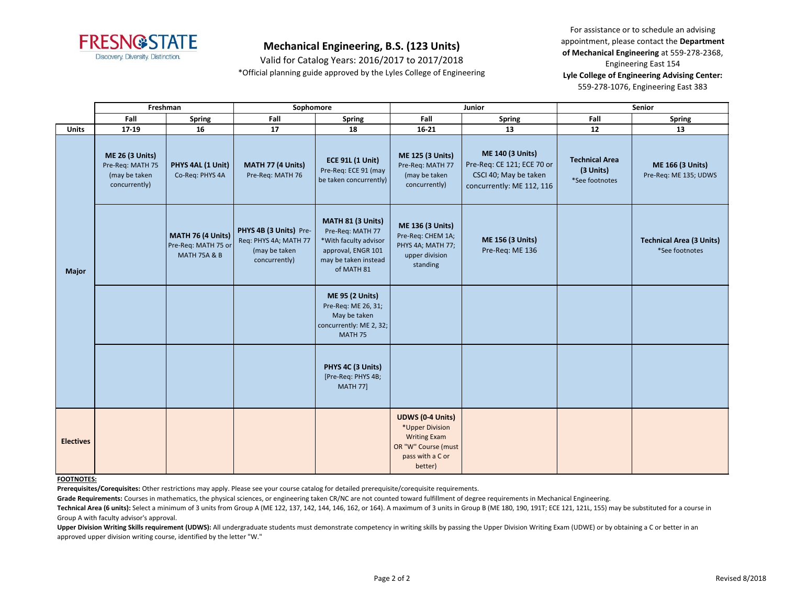

Valid for Catalog Years: 2016/2017 to 2017/2018 \*Official planning guide approved by the Lyles College of Engineering

For assistance or to schedule an advising appointment, please contact the **Department of Mechanical Engineering** at 559-278-2368, Engineering East 154 **Lyle College of Engineering Advising Center:**  559-278-1076, Engineering East 383

|                  | Freshman                                                                     |                                                                     | Sophomore                                                                         |                                                                                                                            |                                                                                                                         | Junior                                                                                                      | Senior                                               |                                                   |  |
|------------------|------------------------------------------------------------------------------|---------------------------------------------------------------------|-----------------------------------------------------------------------------------|----------------------------------------------------------------------------------------------------------------------------|-------------------------------------------------------------------------------------------------------------------------|-------------------------------------------------------------------------------------------------------------|------------------------------------------------------|---------------------------------------------------|--|
|                  | Fall                                                                         | <b>Spring</b>                                                       | Fall                                                                              | <b>Spring</b>                                                                                                              | Fall                                                                                                                    | Spring                                                                                                      | Fall                                                 | <b>Spring</b>                                     |  |
| <b>Units</b>     | 17-19                                                                        | 16                                                                  | 17                                                                                | 18                                                                                                                         | $16 - 21$                                                                                                               | 13                                                                                                          | 12                                                   | 13                                                |  |
|                  | <b>ME 26 (3 Units)</b><br>Pre-Req: MATH 75<br>(may be taken<br>concurrently) | PHYS 4AL (1 Unit)<br>Co-Req: PHYS 4A                                | MATH 77 (4 Units)<br>Pre-Req: MATH 76                                             | <b>ECE 91L (1 Unit)</b><br>Pre-Req: ECE 91 (may<br>be taken concurrently)                                                  | <b>ME 125 (3 Units)</b><br>Pre-Req: MATH 77<br>(may be taken<br>concurrently)                                           | <b>ME 140 (3 Units)</b><br>Pre-Req: CE 121; ECE 70 or<br>CSCI 40; May be taken<br>concurrently: ME 112, 116 | <b>Technical Area</b><br>(3 Units)<br>*See footnotes | ME 166 (3 Units)<br>Pre-Req: ME 135; UDWS         |  |
| Major            |                                                                              | MATH 76 (4 Units)<br>Pre-Req: MATH 75 or<br><b>MATH 75A &amp; B</b> | PHYS 4B (3 Units) Pre-<br>Req: PHYS 4A; MATH 77<br>(may be taken<br>concurrently) | MATH 81 (3 Units)<br>Pre-Req: MATH 77<br>*With faculty advisor<br>approval, ENGR 101<br>may be taken instead<br>of MATH 81 | ME 136 (3 Units)<br>Pre-Req: CHEM 1A;<br>PHYS 4A; MATH 77;<br>upper division<br>standing                                | <b>ME 156 (3 Units)</b><br>Pre-Req: ME 136                                                                  |                                                      | <b>Technical Area (3 Units)</b><br>*See footnotes |  |
|                  |                                                                              |                                                                     |                                                                                   | <b>ME 95 (2 Units)</b><br>Pre-Req: ME 26, 31;<br>May be taken<br>concurrently: ME 2, 32;<br>MATH 75                        |                                                                                                                         |                                                                                                             |                                                      |                                                   |  |
|                  |                                                                              |                                                                     |                                                                                   | PHYS 4C (3 Units)<br>[Pre-Req: PHYS 4B;<br><b>MATH 77]</b>                                                                 |                                                                                                                         |                                                                                                             |                                                      |                                                   |  |
| <b>Electives</b> |                                                                              |                                                                     |                                                                                   |                                                                                                                            | <b>UDWS (0-4 Units)</b><br>*Upper Division<br><b>Writing Exam</b><br>OR "W" Course (must<br>pass with a C or<br>better) |                                                                                                             |                                                      |                                                   |  |

### **FOOTNOTES:**

**Prerequisites/Corequisites:** Other restrictions may apply. Please see your course catalog for detailed prerequisite/corequisite requirements.

Grade Requirements: Courses in mathematics, the physical sciences, or engineering taken CR/NC are not counted toward fulfillment of degree requirements in Mechanical Engineering.

Technical Area (6 units): Select a minimum of 3 units from Group A (ME 122, 137, 142, 144, 146, 162, or 164). A maximum of 3 units in Group B (ME 180, 190, 191T; ECE 121, 121L, 155) may be substituted for a course in Group A with faculty advisor's approval.

Upper Division Writing Skills requirement (UDWS): All undergraduate students must demonstrate competency in writing skills by passing the Upper Division Writing Exam (UDWE) or by obtaining a C or better in an approved upper division writing course, identified by the letter "W."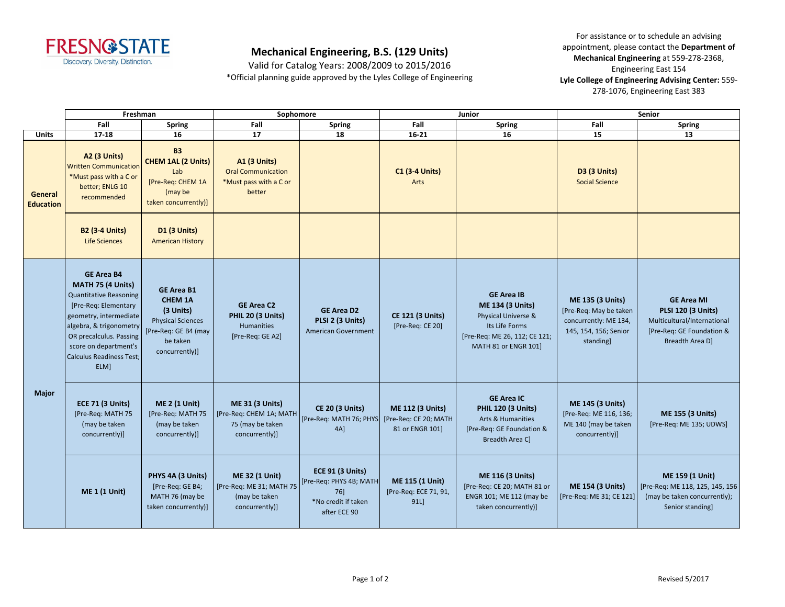

## **Mechanical Engineering, B.S. (129 Units)**

Valid for Catalog Years: 2008/2009 to 2015/2016 \*Official planning guide approved by the Lyles College of Engineering

For assistance or to schedule an advising appointment, please contact the Department of **Mechanical Engineering** at 559-278-2368, Engineering East 154 Lyle College of Engineering Advising Center: 559-278-1076, Engineering East 383

|                             | Freshman                                                                                                                                                                                                                                            |                                                                                                                                    | Sophomore                                                                                                      |                                                                                    |                                                         | <b>Junior</b>                                                                                                                                  | Senior                                                                                                          |                                                                                                                                      |
|-----------------------------|-----------------------------------------------------------------------------------------------------------------------------------------------------------------------------------------------------------------------------------------------------|------------------------------------------------------------------------------------------------------------------------------------|----------------------------------------------------------------------------------------------------------------|------------------------------------------------------------------------------------|---------------------------------------------------------|------------------------------------------------------------------------------------------------------------------------------------------------|-----------------------------------------------------------------------------------------------------------------|--------------------------------------------------------------------------------------------------------------------------------------|
|                             | Fall                                                                                                                                                                                                                                                | <b>Spring</b>                                                                                                                      | Fall                                                                                                           | <b>Spring</b>                                                                      | Fall                                                    | Spring                                                                                                                                         | Fall                                                                                                            | <b>Spring</b>                                                                                                                        |
| Units                       | $17 - 18$                                                                                                                                                                                                                                           | 16                                                                                                                                 | 17                                                                                                             | 18                                                                                 | $16 - 21$                                               | 16                                                                                                                                             | 15                                                                                                              | 13                                                                                                                                   |
| General<br><b>Education</b> | A2 (3 Units)<br><b>Written Communication</b><br>*Must pass with a C or<br>better; ENLG 10<br>recommended                                                                                                                                            | <b>B3</b><br><b>CHEM 1AL (2 Units)</b><br>Lab<br>[Pre-Req: CHEM 1A<br>(may be<br>taken concurrently)]                              | <b>A1 (3 Units)</b><br><b>Oral Communication</b><br>*Must pass with a C or<br>better                           |                                                                                    | <b>C1 (3-4 Units)</b><br>Arts                           |                                                                                                                                                | D3 (3 Units)<br><b>Social Science</b>                                                                           |                                                                                                                                      |
|                             | <b>B2 (3-4 Units)</b><br>Life Sciences                                                                                                                                                                                                              | <b>D1 (3 Units)</b><br><b>American History</b>                                                                                     |                                                                                                                |                                                                                    |                                                         |                                                                                                                                                |                                                                                                                 |                                                                                                                                      |
| Major                       | <b>GE Area B4</b><br>MATH 75 (4 Units)<br><b>Quantitative Reasoning</b><br>[Pre-Req: Elementary<br>geometry, intermediate<br>algebra, & trigonometry<br>OR precalculus. Passing<br>score on department's<br><b>Calculus Readiness Test;</b><br>ELM] | <b>GE Area B1</b><br><b>CHEM 1A</b><br>(3 Units)<br><b>Physical Sciences</b><br>[Pre-Req: GE B4 (may<br>be taken<br>concurrently)] | <b>GE Area C2</b><br>PHIL 20 (3 Units)<br><b>Humanities</b><br>[Pre-Req: GE A2]                                | <b>GE Area D2</b><br>PLSI 2 (3 Units)<br><b>American Government</b>                | <b>CE 121 (3 Units)</b><br>[Pre-Req: CE 20]             | <b>GE Area IB</b><br><b>ME 134 (3 Units)</b><br>Physical Universe &<br>Its Life Forms<br>[Pre-Req: ME 26, 112; CE 121;<br>MATH 81 or ENGR 101] | <b>ME 135 (3 Units)</b><br>[Pre-Req: May be taken<br>concurrently: ME 134,<br>145, 154, 156; Senior<br>standing | <b>GE Area MI</b><br><b>PLSI 120 (3 Units)</b><br>Multicultural/International<br>[Pre-Req: GE Foundation &<br><b>Breadth Area Dl</b> |
|                             | <b>ECE 71 (3 Units)</b><br>[Pre-Req: MATH 75<br>(may be taken<br>concurrently)]                                                                                                                                                                     | <b>ME 2 (1 Unit)</b><br>[Pre-Req: MATH 75<br>(may be taken<br>concurrently)]                                                       | <b>ME 31 (3 Units)</b><br>[Pre-Req: CHEM 1A; MATH<br>75 (may be taken<br>concurrently)]                        | <b>CE 20 (3 Units)</b><br>[Pre-Reg: MATH 76; PHYS] [Pre-Reg: CE 20; MATH<br>$4A$ ] | <b>ME 112 (3 Units)</b><br>81 or ENGR 101]              | <b>GE Area IC</b><br><b>PHIL 120 (3 Units)</b><br><b>Arts &amp; Humanities</b><br>[Pre-Req: GE Foundation &<br>Breadth Area C]                 | <b>ME 145 (3 Units)</b><br>[Pre-Req: ME 116, 136;<br>ME 140 (may be taken<br>concurrently)]                     | <b>ME 155 (3 Units)</b><br>[Pre-Req: ME 135; UDWS]                                                                                   |
|                             | <b>ME 1 (1 Unit)</b>                                                                                                                                                                                                                                | PHYS 4A (3 Units)<br>[Pre-Req: GE B4;<br>MATH 76 (may be<br>taken concurrently)]                                                   | <b>ME 32 (1 Unit)</b><br>[Pre-Req: ME 31; MATH 75   [Pre-Req: PHYS 4B; MATH<br>(may be taken<br>concurrently)] | <b>ECE 91 (3 Units)</b><br>76]<br>*No credit if taken<br>after ECE 90              | <b>ME 115 (1 Unit)</b><br>[Pre-Req: ECE 71, 91,<br>91L] | <b>ME 116 (3 Units)</b><br>[Pre-Req: CE 20; MATH 81 or<br>ENGR 101; ME 112 (may be<br>taken concurrently)]                                     | <b>ME 154 (3 Units)</b><br>[Pre-Req: ME 31; CE 121]                                                             | ME 159 (1 Unit)<br>[Pre-Req: ME 118, 125, 145, 156<br>(may be taken concurrently);<br>Senior standing]                               |